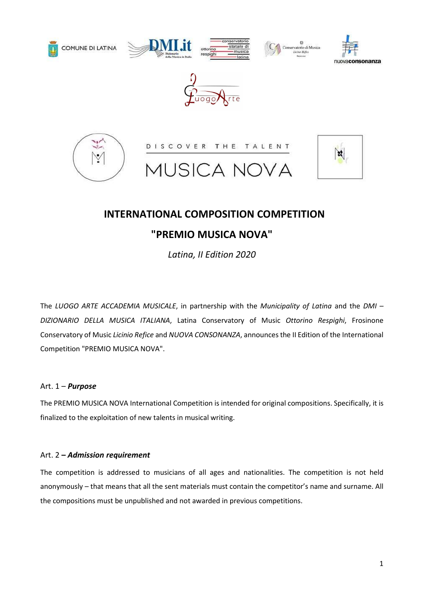











# INTERNATIONAL COMPOSITION COMPETITION

## "PREMIO MUSICA NOVA"

Latina, II Edition 2020

The LUOGO ARTE ACCADEMIA MUSICALE, in partnership with the Municipality of Latina and the DMI – DIZIONARIO DELLA MUSICA ITALIANA, Latina Conservatory of Music Ottorino Respighi, Frosinone Conservatory of Music Licinio Refice and NUOVA CONSONANZA, announces the II Edition of the International Competition "PREMIO MUSICA NOVA".

## Art. 1 – Purpose

The PREMIO MUSICA NOVA International Competition is intended for original compositions. Specifically, it is finalized to the exploitation of new talents in musical writing.

### Art. 2 - Admission requirement

The competition is addressed to musicians of all ages and nationalities. The competition is not held anonymously – that means that all the sent materials must contain the competitor's name and surname. All the compositions must be unpublished and not awarded in previous competitions.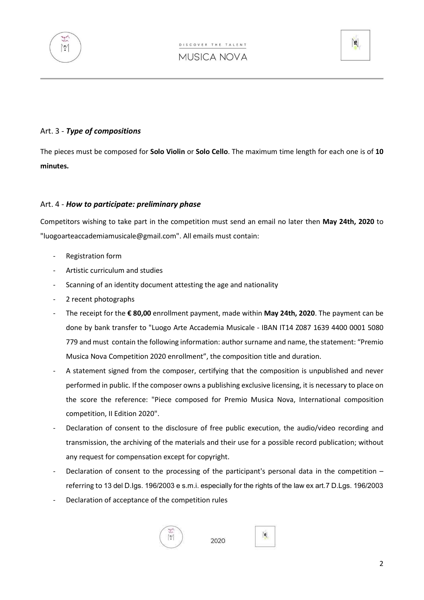



### Art. 3 - Type of compositions

The pieces must be composed for Solo Violin or Solo Cello. The maximum time length for each one is of 10 minutes.

#### Art. 4 - How to participate: preliminary phase

Competitors wishing to take part in the competition must send an email no later then May 24th, 2020 to "luogoarteaccademiamusicale@gmail.com". All emails must contain:

- Registration form
- Artistic curriculum and studies
- Scanning of an identity document attesting the age and nationality
- 2 recent photographs
- The receipt for the € 80,00 enrollment payment, made within May 24th, 2020. The payment can be done by bank transfer to "Luogo Arte Accademia Musicale - IBAN IT14 Z087 1639 4400 0001 5080 779 and must contain the following information: author surname and name, the statement: "Premio Musica Nova Competition 2020 enrollment", the composition title and duration.
- A statement signed from the composer, certifying that the composition is unpublished and never performed in public. If the composer owns a publishing exclusive licensing, it is necessary to place on the score the reference: "Piece composed for Premio Musica Nova, International composition competition, II Edition 2020".
- Declaration of consent to the disclosure of free public execution, the audio/video recording and transmission, the archiving of the materials and their use for a possible record publication; without any request for compensation except for copyright.
- Declaration of consent to the processing of the participant's personal data in the competition  $$ referring to 13 del D.Igs. 196/2003 e s.m.i. especially for the rights of the law ex art.7 D.Lgs. 196/2003
- Declaration of acceptance of the competition rules



2020

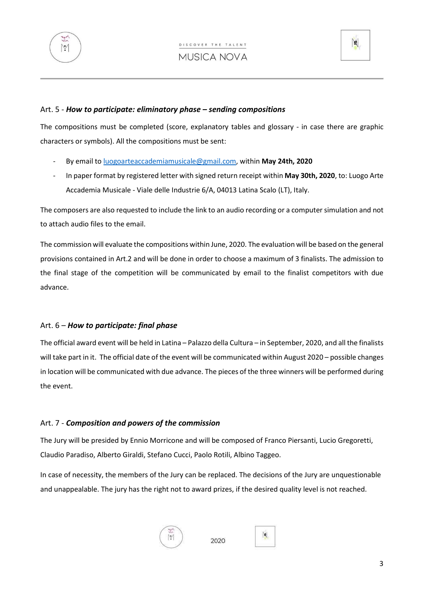



#### Art. 5 - How to participate: eliminatory phase – sending compositions

The compositions must be completed (score, explanatory tables and glossary - in case there are graphic characters or symbols). All the compositions must be sent:

- By email to luogoarteaccademiamusicale@gmail.com, within May 24th, 2020
- In paper format by registered letter with signed return receipt within May 30th, 2020, to: Luogo Arte Accademia Musicale - Viale delle Industrie 6/A, 04013 Latina Scalo (LT), Italy.

The composers are also requested to include the link to an audio recording or a computer simulation and not to attach audio files to the email.

The commission will evaluate the compositions within June, 2020. The evaluation will be based on the general provisions contained in Art.2 and will be done in order to choose a maximum of 3 finalists. The admission to the final stage of the competition will be communicated by email to the finalist competitors with due advance.

### Art.  $6$  – How to participate: final phase

The official award event will be held in Latina – Palazzo della Cultura – in September, 2020, and all the finalists will take part in it. The official date of the event will be communicated within August 2020 – possible changes in location will be communicated with due advance. The pieces of the three winners will be performed during the event.

### Art. 7 - Composition and powers of the commission

The Jury will be presided by Ennio Morricone and will be composed of Franco Piersanti, Lucio Gregoretti, Claudio Paradiso, Alberto Giraldi, Stefano Cucci, Paolo Rotili, Albino Taggeo.

In case of necessity, the members of the Jury can be replaced. The decisions of the Jury are unquestionable and unappealable. The jury has the right not to award prizes, if the desired quality level is not reached.



2020